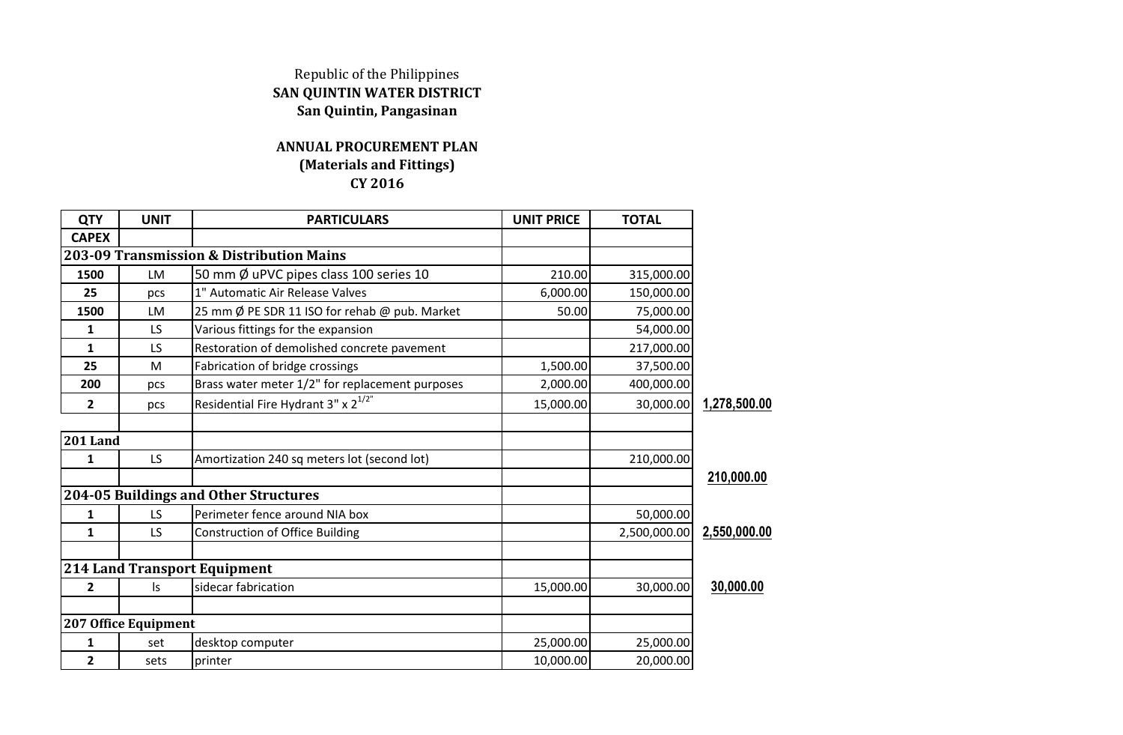## Republic of the Philippines **SAN QUINTIN WATER DISTRICT San Quintin, Pangasinan**

## **ANNUAL PROCUREMENT PLAN (Materials and Fittings) CY 2016**

| <b>QTY</b>      | <b>UNIT</b>          | <b>PARTICULARS</b>                              | <b>UNIT PRICE</b> | <b>TOTAL</b> |              |
|-----------------|----------------------|-------------------------------------------------|-------------------|--------------|--------------|
| <b>CAPEX</b>    |                      |                                                 |                   |              |              |
|                 |                      | 203-09 Transmission & Distribution Mains        |                   |              |              |
| 1500            | LM                   | 50 mm Ø uPVC pipes class 100 series 10          | 210.00            | 315,000.00   |              |
| 25              | pcs                  | 1" Automatic Air Release Valves                 | 6,000.00          | 150,000.00   |              |
| 1500            | <b>LM</b>            | 25 mm Ø PE SDR 11 ISO for rehab @ pub. Market   | 50.00             | 75,000.00    |              |
| 1               | LS                   | Various fittings for the expansion              |                   | 54,000.00    |              |
| $\mathbf{1}$    | LS                   | Restoration of demolished concrete pavement     |                   | 217,000.00   |              |
| 25              | M                    | Fabrication of bridge crossings                 | 1,500.00          | 37,500.00    |              |
| 200             | pcs                  | Brass water meter 1/2" for replacement purposes | 2,000.00          | 400,000.00   |              |
| $\overline{2}$  | pcs                  | Residential Fire Hydrant 3" x 2 <sup>1/2"</sup> | 15,000.00         | 30,000.00    | 1,278,500.00 |
| <b>201 Land</b> |                      |                                                 |                   |              |              |
| 1               | LS.                  | Amortization 240 sq meters lot (second lot)     |                   | 210,000.00   |              |
|                 |                      |                                                 |                   |              | 210,000.00   |
|                 |                      | 204-05 Buildings and Other Structures           |                   |              |              |
| 1               | LS                   | Perimeter fence around NIA box                  |                   | 50,000.00    |              |
| 1               | LS                   | <b>Construction of Office Building</b>          |                   | 2,500,000.00 | 2,550,000.00 |
|                 |                      | <b>214 Land Transport Equipment</b>             |                   |              |              |
| 2               | ls                   | sidecar fabrication                             | 15,000.00         | 30,000.00    | 30,000.00    |
|                 | 207 Office Equipment |                                                 |                   |              |              |
| $\mathbf{1}$    | set                  | desktop computer                                | 25,000.00         | 25,000.00    |              |
| $\overline{2}$  | sets                 | printer                                         | 10,000.00         | 20,000.00    |              |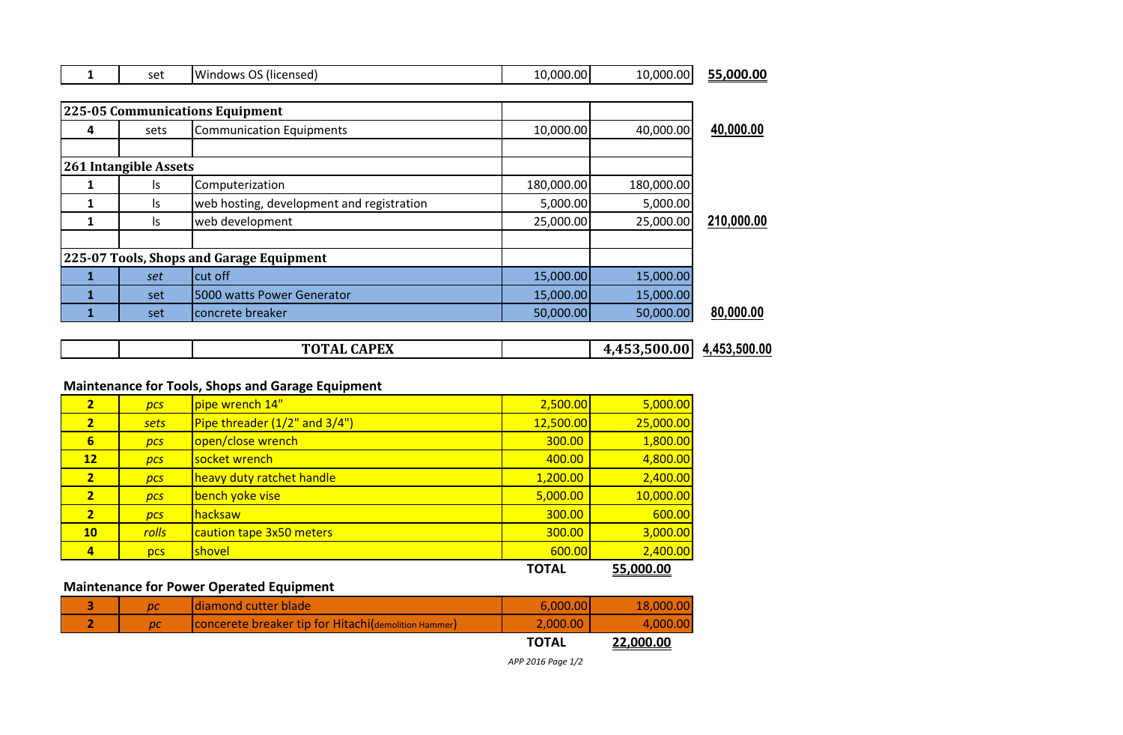|  | ∗ہ ۔<br><b>SCL</b> | .<br><b>Windows</b><br>-<br>، (licensed)<br>ັ | .000.001<br>$\sim$<br>. U . | ا000.00.00 ت | .000.00<br>--<br>0.00<br>-- |
|--|--------------------|-----------------------------------------------|-----------------------------|--------------|-----------------------------|
|--|--------------------|-----------------------------------------------|-----------------------------|--------------|-----------------------------|

|                                          |                       | 225-05 Communications Equipment           |            |            |            |
|------------------------------------------|-----------------------|-------------------------------------------|------------|------------|------------|
| 4                                        | sets                  | <b>Communication Equipments</b>           | 10,000.00  | 40,000.00  | 40,000.00  |
|                                          |                       |                                           |            |            |            |
|                                          | 261 Intangible Assets |                                           |            |            |            |
|                                          | ls                    | Computerization                           | 180,000.00 | 180,000.00 |            |
|                                          | ls.                   | web hosting, development and registration | 5,000.00   | 5,000.00   |            |
|                                          | ls                    | web development                           | 25,000.00  | 25,000.00  | 210,000.00 |
|                                          |                       |                                           |            |            |            |
| 225-07 Tools, Shops and Garage Equipment |                       |                                           |            |            |            |
|                                          | set                   | cut off                                   | 15,000.00  | 15,000.00  |            |
|                                          | set                   | 5000 watts Power Generator                | 15,000.00  | 15,000.00  |            |
|                                          | set                   | concrete breaker                          | 50,000.00  | 50,000.00  | 80,000.00  |

|  |  |  | TOTAL CADEV<br>ĽЛ<br>. . |  | $\mathbf{a}$ | 453 500 00 |
|--|--|--|--------------------------|--|--------------|------------|
|--|--|--|--------------------------|--|--------------|------------|

## **Maintenance for Tools, Shops and Garage Equipment**

| Pipe threader (1/2" and 3/4")<br>12,500.00<br>$\overline{2}$<br>sets<br>6<br>open/close wrench<br>300.00<br>DCS<br>12<br>socket wrench<br>400.00<br>DCS<br>heavy duty ratchet handle<br>1,200.00<br>$\overline{2}$<br>DCS<br>bench yoke vise<br>5,000.00<br>$\overline{2}$<br>DCS<br>$\overline{2}$<br>300.00<br>lhacksaw<br>DCS<br><b>rolls</b><br>300.00<br>10 <sub>1</sub><br>caution tape 3x50 meters<br>600.00<br>$\overline{a}$<br>shovel<br>pcs | 55,000.00 |
|--------------------------------------------------------------------------------------------------------------------------------------------------------------------------------------------------------------------------------------------------------------------------------------------------------------------------------------------------------------------------------------------------------------------------------------------------------|-----------|
|                                                                                                                                                                                                                                                                                                                                                                                                                                                        | 2,400.00  |
|                                                                                                                                                                                                                                                                                                                                                                                                                                                        | 3,000.00  |
|                                                                                                                                                                                                                                                                                                                                                                                                                                                        | 600.00    |
|                                                                                                                                                                                                                                                                                                                                                                                                                                                        | 10,000.00 |
|                                                                                                                                                                                                                                                                                                                                                                                                                                                        | 2,400.00  |
|                                                                                                                                                                                                                                                                                                                                                                                                                                                        | 4,800.00  |
|                                                                                                                                                                                                                                                                                                                                                                                                                                                        | 1,800.00  |
|                                                                                                                                                                                                                                                                                                                                                                                                                                                        | 25,000.00 |
| pipe wrench 14"<br>2,500.00<br>2 <sup>1</sup><br>DCS                                                                                                                                                                                                                                                                                                                                                                                                   | 5,000.00  |

**Maintenance for Power Operated Equipment**

|    |                                                      | <b>TOTAL</b> | 22,000.00 |
|----|------------------------------------------------------|--------------|-----------|
| рc | Concerete breaker tip for Hitachi(demolition Hammer) | 2.000.00     | 4.000.00  |
| DC | <b>Idiamond cutter blade</b>                         | 6.000.00     | 18,000,00 |

*APP 2016 Page 1/2*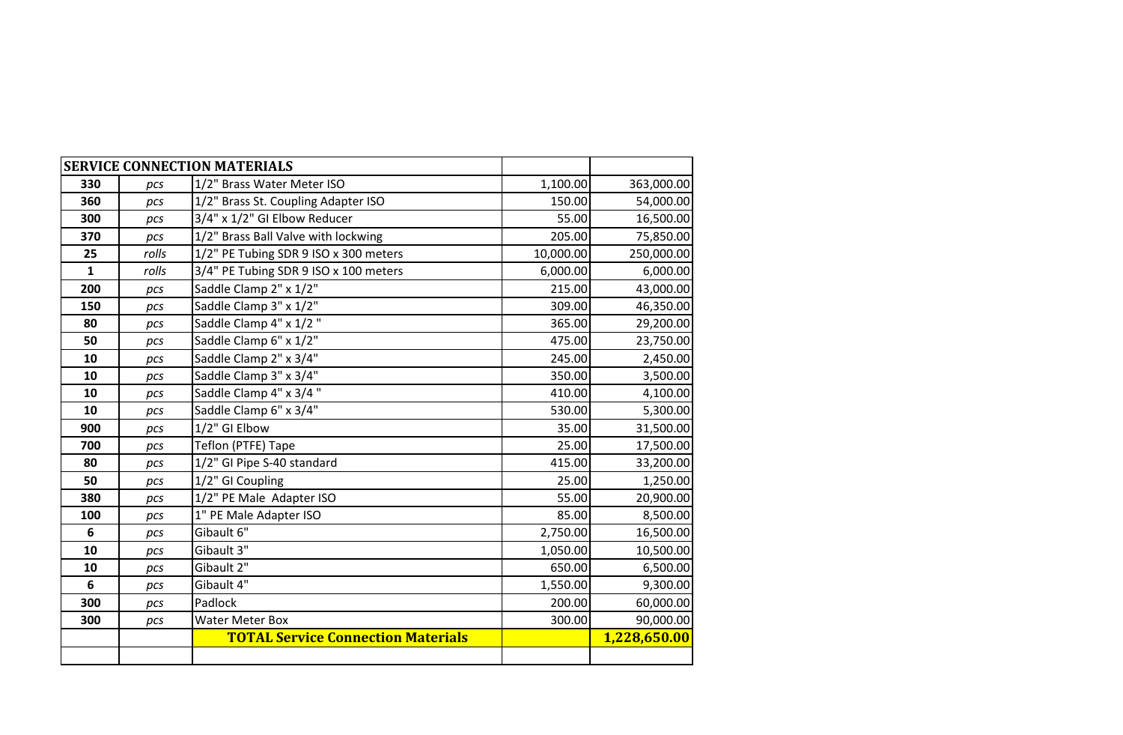|              |       | <b>SERVICE CONNECTION MATERIALS</b>       |           |              |
|--------------|-------|-------------------------------------------|-----------|--------------|
| 330          | pcs   | 1/2" Brass Water Meter ISO                | 1,100.00  | 363,000.00   |
| 360          | pcs   | 1/2" Brass St. Coupling Adapter ISO       | 150.00    | 54,000.00    |
| 300          | pcs   | 3/4" x 1/2" GI Elbow Reducer              | 55.00     | 16,500.00    |
| 370          | pcs   | 1/2" Brass Ball Valve with lockwing       | 205.00    | 75,850.00    |
| 25           | rolls | 1/2" PE Tubing SDR 9 ISO x 300 meters     | 10,000.00 | 250,000.00   |
| $\mathbf{1}$ | rolls | 3/4" PE Tubing SDR 9 ISO x 100 meters     | 6,000.00  | 6,000.00     |
| 200          | pcs   | Saddle Clamp 2" x 1/2"                    | 215.00    | 43,000.00    |
| 150          | pcs   | Saddle Clamp 3" x 1/2"                    | 309.00    | 46,350.00    |
| 80           | pcs   | Saddle Clamp 4" x 1/2"                    | 365.00    | 29,200.00    |
| 50           | pcs   | Saddle Clamp 6" x 1/2"                    | 475.00    | 23,750.00    |
| 10           | pcs   | Saddle Clamp 2" x 3/4"                    | 245.00    | 2,450.00     |
| 10           | pcs   | Saddle Clamp 3" x 3/4"                    | 350.00    | 3,500.00     |
| 10           | pcs   | Saddle Clamp 4" x 3/4"                    | 410.00    | 4,100.00     |
| 10           | pcs   | Saddle Clamp 6" x 3/4"                    | 530.00    | 5,300.00     |
| 900          | pcs   | 1/2" GI Elbow                             | 35.00     | 31,500.00    |
| 700          | pcs   | Teflon (PTFE) Tape                        | 25.00     | 17,500.00    |
| 80           | pcs   | 1/2" GI Pipe S-40 standard                | 415.00    | 33,200.00    |
| 50           | pcs   | 1/2" GI Coupling                          | 25.00     | 1,250.00     |
| 380          | pcs   | 1/2" PE Male Adapter ISO                  | 55.00     | 20,900.00    |
| 100          | pcs   | 1" PE Male Adapter ISO                    | 85.00     | 8,500.00     |
| 6            | pcs   | Gibault 6"                                | 2,750.00  | 16,500.00    |
| 10           | pcs   | Gibault 3"                                | 1,050.00  | 10,500.00    |
| 10           | pcs   | Gibault 2"                                | 650.00    | 6,500.00     |
| 6            | pcs   | Gibault 4"                                | 1,550.00  | 9,300.00     |
| 300          | pcs   | Padlock                                   | 200.00    | 60,000.00    |
| 300          | pcs   | <b>Water Meter Box</b>                    | 300.00    | 90,000.00    |
|              |       | <b>TOTAL Service Connection Materials</b> |           | 1,228,650.00 |
|              |       |                                           |           |              |